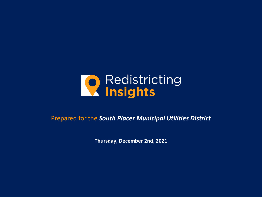

#### Prepared for the *South Placer Municipal Utilities District*

**Thursday, December 2nd, 2021**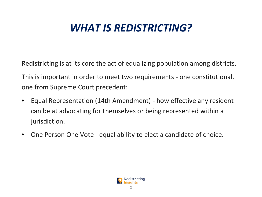# *WHAT IS REDISTRICTING?*

Redistricting is at its core the act of equalizing population among districts.

This is important in order to meet two requirements - one constitutional, one from Supreme Court precedent:

- Equal Representation (14th Amendment) how effective any resident can be at advocating for themselves or being represented within a jurisdiction.
- One Person One Vote equal ability to elect a candidate of choice.

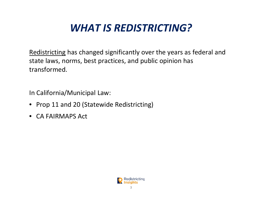# *WHAT IS REDISTRICTING?*

Redistricting has changed significantly over the years as federal and state laws, norms, best practices, and public opinion has transformed.

In California/Municipal Law:

- Prop 11 and 20 (Statewide Redistricting)
- CA FAIRMAPS Act

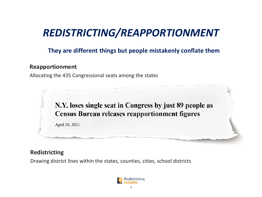## *REDISTRICTING/REAPPORTIONMENT*

#### **They are different things but people mistakenly conflate them**

#### **Reapportionment**

Allocating the 435 Congressional seats among the states



#### **Redistricting**

Drawing district lines within the states, counties, cities, school districts

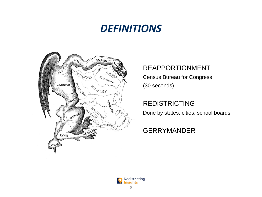## *DEFINITIONS*



#### REAPPORTIONMENT

Census Bureau for Congress

(30 seconds)

REDISTRICTING

Done by states, cities, school boards

#### GERRYMANDER

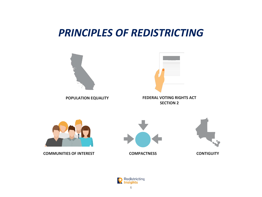## *PRINCIPLES OF REDISTRICTING*





**COMMUNITIES OF INTEREST COMPACTNESS CONTIGUITY**





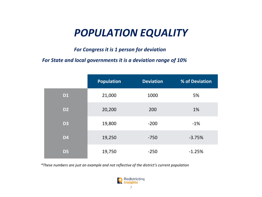## *POPULATION EQUALITY*

*For Congress it is 1 person for deviation*

*For State and local governments it is a deviation range of 10%*

|                | <b>Population</b> | <b>Deviation</b> | % of Deviation |
|----------------|-------------------|------------------|----------------|
| <b>D1</b>      | 21,000            | 1000             | 5%             |
| D <sub>2</sub> | 20,200            | 200              | 1%             |
| <b>D3</b>      | 19,800            | $-200$           | $-1\%$         |
| <b>D4</b>      | 19,250            | $-750$           | $-3.75%$       |
| D <sub>5</sub> | 19,750            | $-250$           | $-1.25%$       |

*\*These numbers are just an example and not reflective of the district's current population* 

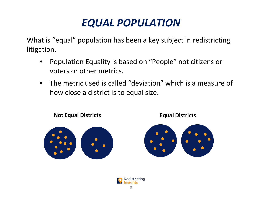# *EQUAL POPULATION*

What is "equal" population has been a key subject in redistricting litigation.

- Population Equality is based on "People" not citizens or voters or other metrics.
- The metric used is called "deviation" which is a measure of how close a district is to equal size.







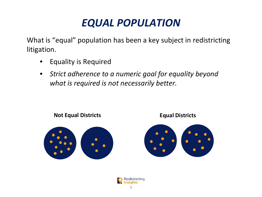# *EQUAL POPULATION*

What is "equal" population has been a key subject in redistricting litigation.

- Equality is Required
- *Strict adherence to a numeric goal for equality beyond what is required is not necessarily better.*



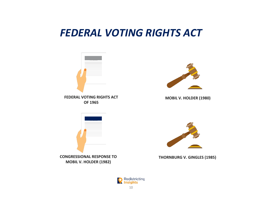## *FEDERAL VOTING RIGHTS ACT*



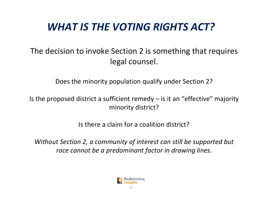# *WHAT IS THE VOTING RIGHTS ACT?*

#### The decision to invoke Section 2 is something that requires legal counsel.

Does the minority population qualify under Section 2?

Is the proposed district a sufficient remedy  $-$  is it an "effective" majority minority district?

Is there a claim for a coalition district?

*Without Section 2, a community of interest can still be supported but race cannot be a predominant factor in drawing lines*.

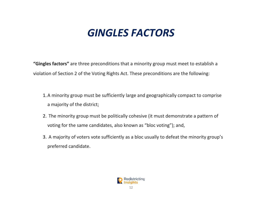## *GINGLES FACTORS*

**"Gingles factors"** are three preconditions that a minority group must meet to establish a violation of Section 2 of the Voting Rights Act. These preconditions are the following:

- 1.A minority group must be sufficiently large and geographically compact to comprise a majority of the district;
- 2. The minority group must be politically cohesive (it must demonstrate a pattern of voting for the same candidates, also known as "bloc voting"); and,
- 3. A majority of voters vote sufficiently as a bloc usually to defeat the minority group's preferred candidate.

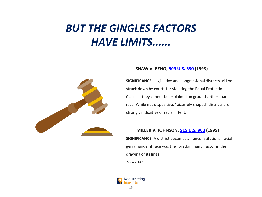# *BUT THE GINGLES FACTORS HAVE LIMITS......*



#### **SHAW V. RENO, [509 U.S. 630](http://caselaw.findlaw.com/us-supreme-court/509/630.html) (1993)**

**SIGNIFICANCE:** Legislative and congressional districts will be struck down by courts for violating the Equal Protection Clause if they cannot be explained on grounds other than race. While not dispositive, "bizarrely shaped" districts are strongly indicative of racial intent.

#### **MILLER V. JOHNSON, [515 U.S. 900](http://caselaw.findlaw.com/us-supreme-court/515/900.html) (1995)**

**SIGNIFICANCE:** A district becomes an unconstitutional racial gerrymander if race was the "predominant" factor in the drawing of its lines Source: NCSL

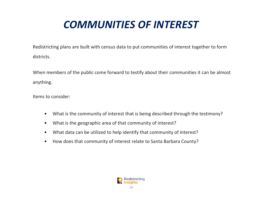# *COMMUNITIES OF INTEREST*

Redistricting plans are built with census data to put communities of interest together to form districts.

When members of the public come forward to testify about their communities it can be almost anything.

Items to consider:

- What is the community of interest that is being described through the testimony?
- What is the geographic area of that community of interest?
- What data can be utilized to help identify that community of interest?
- How does that community of interest relate to Santa Barbara County?

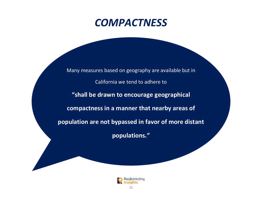## *COMPACTNESS*

Many measures based on geography are available but in California we tend to adhere to **"shall be drawn to encourage geographical compactness in a manner that nearby areas of population are not bypassed in favor of more distant** 

**populations."**

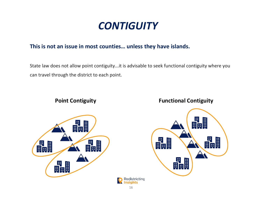## *CONTIGUITY*

#### **This is not an issue in most counties… unless they have islands.**

State law does not allow point contiguity...it is advisable to seek functional contiguity where you can travel through the district to each point.

> **Insights** 16





#### **Point Contiguity Functional Contiguity**

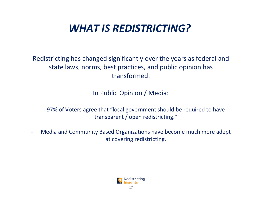# *WHAT IS REDISTRICTING?*

Redistricting has changed significantly over the years as federal and state laws, norms, best practices, and public opinion has transformed.

In Public Opinion / Media:

- 97% of Voters agree that "local government should be required to have transparent / open redistricting."
- Media and Community Based Organizations have become much more adept at covering redistricting.

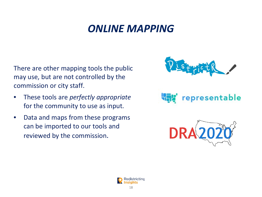## *ONLINE MAPPING*

There are other mapping tools the public may use, but are not controlled by the commission or city staff.

- These tools are *perfectly appropriate*  for the community to use as input.
- Data and maps from these programs can be imported to our tools and reviewed by the commission.